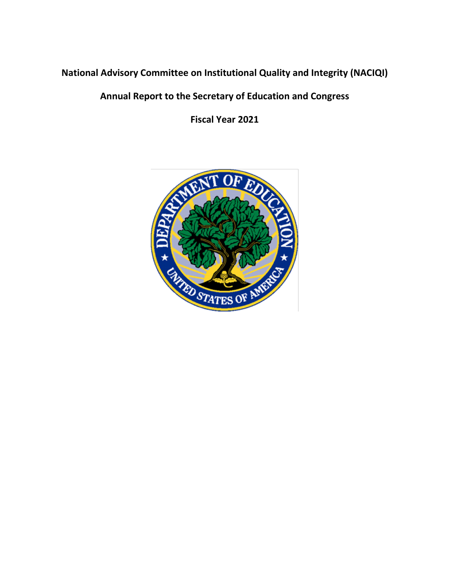# **National Advisory Committee on Institutional Quality and Integrity (NACIQI)**

# **Annual Report to the Secretary of Education and Congress**

**Fiscal Year 2021**

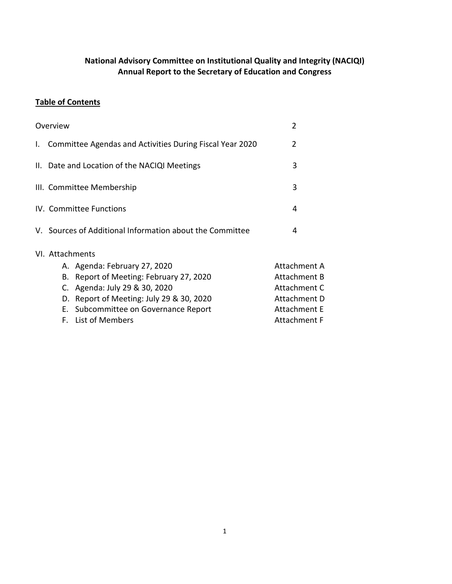## **National Advisory Committee on Institutional Quality and Integrity (NACIQI) Annual Report to the Secretary of Education and Congress**

## **Table of Contents**

|                                                          | Overview            |                                                          | 2                   |
|----------------------------------------------------------|---------------------|----------------------------------------------------------|---------------------|
| $\mathbf{L}$                                             |                     | Committee Agendas and Activities During Fiscal Year 2020 | 2                   |
|                                                          |                     | II. Date and Location of the NACIQI Meetings             | 3                   |
| III. Committee Membership                                |                     | 3                                                        |                     |
| IV. Committee Functions                                  |                     | 4                                                        |                     |
|                                                          |                     | V. Sources of Additional Information about the Committee | 4                   |
|                                                          | VI. Attachments     |                                                          |                     |
|                                                          |                     | A. Agenda: February 27, 2020                             | <b>Attachment A</b> |
|                                                          | <b>Attachment B</b> |                                                          |                     |
| Attachment C<br>C. Agenda: July 29 & 30, 2020            |                     |                                                          |                     |
| D. Report of Meeting: July 29 & 30, 2020<br>Attachment D |                     |                                                          |                     |
|                                                          |                     | E. Subcommittee on Governance Report                     | <b>Attachment E</b> |
|                                                          |                     | F. List of Members                                       | Attachment F        |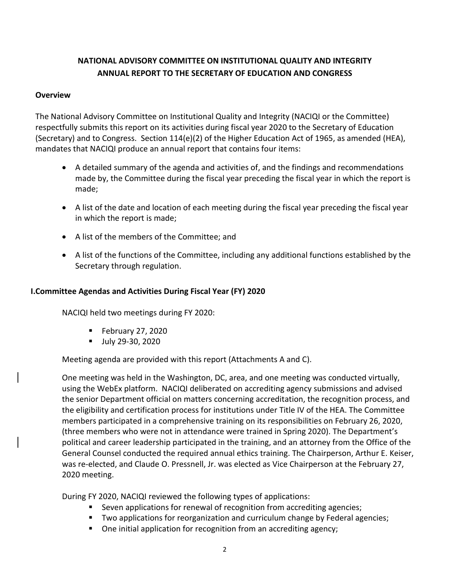# **NATIONAL ADVISORY COMMITTEE ON INSTITUTIONAL QUALITY AND INTEGRITY ANNUAL REPORT TO THE SECRETARY OF EDUCATION AND CONGRESS**

#### **Overview**

The National Advisory Committee on Institutional Quality and Integrity (NACIQI or the Committee) respectfully submits this report on its activities during fiscal year 2020 to the Secretary of Education (Secretary) and to Congress. Section 114(e)(2) of the Higher Education Act of 1965, as amended (HEA), mandates that NACIQI produce an annual report that contains four items:

- A detailed summary of the agenda and activities of, and the findings and recommendations made by, the Committee during the fiscal year preceding the fiscal year in which the report is made;
- A list of the date and location of each meeting during the fiscal year preceding the fiscal year in which the report is made;
- A list of the members of the Committee; and
- A list of the functions of the Committee, including any additional functions established by the Secretary through regulation.

## **I.Committee Agendas and Activities During Fiscal Year (FY) 2020**

NACIQI held two meetings during FY 2020:

- $\blacksquare$  February 27, 2020
- Ully 29-30, 2020

Meeting agenda are provided with this report (Attachments A and C).

One meeting was held in the Washington, DC, area, and one meeting was conducted virtually, using the WebEx platform. NACIQI deliberated on accrediting agency submissions and advised the senior Department official on matters concerning accreditation, the recognition process, and the eligibility and certification process for institutions under Title IV of the HEA. The Committee members participated in a comprehensive training on its responsibilities on February 26, 2020, (three members who were not in attendance were trained in Spring 2020). The Department's political and career leadership participated in the training, and an attorney from the Office of the General Counsel conducted the required annual ethics training. The Chairperson, Arthur E. Keiser, was re-elected, and Claude O. Pressnell, Jr. was elected as Vice Chairperson at the February 27, 2020 meeting.

During FY 2020, NACIQI reviewed the following types of applications:

- Seven applications for renewal of recognition from accrediting agencies;
- **Two applications for reorganization and curriculum change by Federal agencies;**
- One initial application for recognition from an accrediting agency;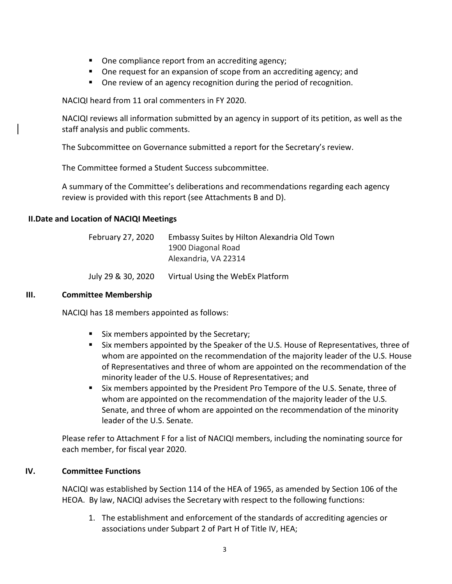- One compliance report from an accrediting agency;
- One request for an expansion of scope from an accrediting agency; and
- **Diamage 1** One review of an agency recognition during the period of recognition.

NACIQI heard from 11 oral commenters in FY 2020.

NACIQI reviews all information submitted by an agency in support of its petition, as well as the staff analysis and public comments.

The Subcommittee on Governance submitted a report for the Secretary's review.

The Committee formed a Student Success subcommittee.

A summary of the Committee's deliberations and recommendations regarding each agency review is provided with this report (see Attachments B and D).

#### **II.Date and Location of NACIQI Meetings**

| February 27, 2020 | Embassy Suites by Hilton Alexandria Old Town |
|-------------------|----------------------------------------------|
|                   | 1900 Diagonal Road                           |
|                   | Alexandria, VA 22314                         |
|                   |                                              |

July 29 & 30, 2020 Virtual Using the WebEx Platform

#### **III. Committee Membership**

NACIQI has 18 members appointed as follows:

- Six members appointed by the Secretary;
- Six members appointed by the Speaker of the U.S. House of Representatives, three of whom are appointed on the recommendation of the majority leader of the U.S. House of Representatives and three of whom are appointed on the recommendation of the minority leader of the U.S. House of Representatives; and
- Six members appointed by the President Pro Tempore of the U.S. Senate, three of whom are appointed on the recommendation of the majority leader of the U.S. Senate, and three of whom are appointed on the recommendation of the minority leader of the U.S. Senate.

Please refer to Attachment F for a list of NACIQI members, including the nominating source for each member, for fiscal year 2020.

#### **IV. Committee Functions**

NACIQI was established by Section 114 of the HEA of 1965, as amended by Section 106 of the HEOA. By law, NACIQI advises the Secretary with respect to the following functions:

1. The establishment and enforcement of the standards of accrediting agencies or associations under Subpart 2 of Part H of Title IV, HEA;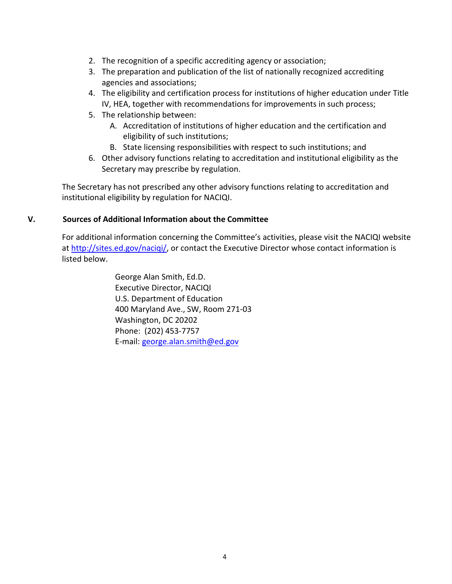- 2. The recognition of a specific accrediting agency or association;
- 3. The preparation and publication of the list of nationally recognized accrediting agencies and associations;
- 4. The eligibility and certification process for institutions of higher education under Title IV, HEA, together with recommendations for improvements in such process;
- 5. The relationship between:
	- A. Accreditation of institutions of higher education and the certification and eligibility of such institutions;
	- B. State licensing responsibilities with respect to such institutions; and
- 6. Other advisory functions relating to accreditation and institutional eligibility as the Secretary may prescribe by regulation.

The Secretary has not prescribed any other advisory functions relating to accreditation and institutional eligibility by regulation for NACIQI.

#### **V. Sources of Additional Information about the Committee**

For additional information concerning the Committee's activities, please visit the NACIQI website at [http://sites.ed.gov/naciqi/,](http://sites.ed.gov/naciqi/) or contact the Executive Director whose contact information is listed below.

> George Alan Smith, Ed.D. Executive Director, NACIQI U.S. Department of Education 400 Maryland Ave., SW, Room 271-03 Washington, DC 20202 Phone: (202) 453-7757 E-mail: [george.alan.smith@ed.gov](mailto:george.alan.smith@ed.gov)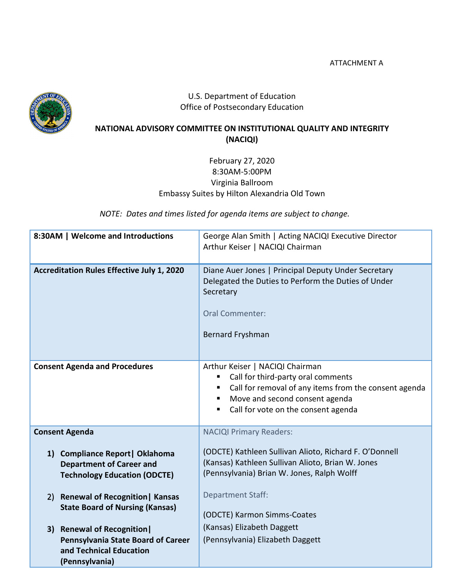ATTACHMENT A



## U.S. Department of Education Office of Postsecondary Education

## **NATIONAL ADVISORY COMMITTEE ON INSTITUTIONAL QUALITY AND INTEGRITY (NACIQI)**

## February 27, 2020 8:30AM-5:00PM Virginia Ballroom Embassy Suites by Hilton Alexandria Old Town

*NOTE: Dates and times listed for agenda items are subject to change.*

| 8:30AM   Welcome and Introductions                                                                        | George Alan Smith   Acting NACIQI Executive Director<br>Arthur Keiser   NACIQI Chairman                                                                                                                 |
|-----------------------------------------------------------------------------------------------------------|---------------------------------------------------------------------------------------------------------------------------------------------------------------------------------------------------------|
| <b>Accreditation Rules Effective July 1, 2020</b>                                                         | Diane Auer Jones   Principal Deputy Under Secretary<br>Delegated the Duties to Perform the Duties of Under<br>Secretary<br><b>Oral Commenter:</b><br><b>Bernard Fryshman</b>                            |
| <b>Consent Agenda and Procedures</b>                                                                      | Arthur Keiser   NACIQI Chairman<br>Call for third-party oral comments<br>Call for removal of any items from the consent agenda<br>Move and second consent agenda<br>Call for vote on the consent agenda |
| <b>Consent Agenda</b>                                                                                     | <b>NACIQI Primary Readers:</b>                                                                                                                                                                          |
| 1) Compliance Report   Oklahoma<br><b>Department of Career and</b><br><b>Technology Education (ODCTE)</b> | (ODCTE) Kathleen Sullivan Alioto, Richard F. O'Donnell<br>(Kansas) Kathleen Sullivan Alioto, Brian W. Jones<br>(Pennsylvania) Brian W. Jones, Ralph Wolff                                               |
| 2) Renewal of Recognition   Kansas<br><b>State Board of Nursing (Kansas)</b>                              | <b>Department Staff:</b><br>(ODCTE) Karmon Simms-Coates                                                                                                                                                 |
| 3) Renewal of Recognition                                                                                 | (Kansas) Elizabeth Daggett                                                                                                                                                                              |
| Pennsylvania State Board of Career<br>and Technical Education<br>(Pennsylvania)                           | (Pennsylvania) Elizabeth Daggett                                                                                                                                                                        |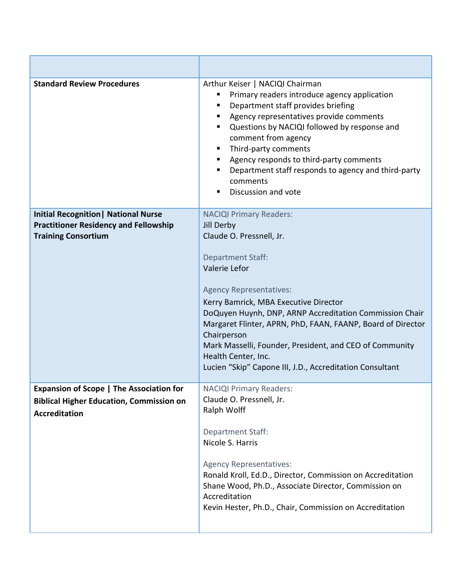| <b>Standard Review Procedures</b>                                                                                          | Arthur Keiser   NACIQI Chairman<br>Primary readers introduce agency application<br>Department staff provides briefing<br>Agency representatives provide comments<br>Questions by NACIQI followed by response and<br>п<br>comment from agency<br>Third-party comments<br>Agency responds to third-party comments<br>Department staff responds to agency and third-party<br>comments<br>Discussion and vote   |  |
|----------------------------------------------------------------------------------------------------------------------------|-------------------------------------------------------------------------------------------------------------------------------------------------------------------------------------------------------------------------------------------------------------------------------------------------------------------------------------------------------------------------------------------------------------|--|
| <b>Initial Recognition   National Nurse</b>                                                                                | <b>NACIQI Primary Readers:</b>                                                                                                                                                                                                                                                                                                                                                                              |  |
| <b>Practitioner Residency and Fellowship</b>                                                                               | Jill Derby                                                                                                                                                                                                                                                                                                                                                                                                  |  |
| <b>Training Consortium</b>                                                                                                 | Claude O. Pressnell, Jr.                                                                                                                                                                                                                                                                                                                                                                                    |  |
|                                                                                                                            | <b>Department Staff:</b><br>Valerie Lefor<br><b>Agency Representatives:</b><br>Kerry Bamrick, MBA Executive Director<br>DoQuyen Huynh, DNP, ARNP Accreditation Commission Chair<br>Margaret Flinter, APRN, PhD, FAAN, FAANP, Board of Director<br>Chairperson<br>Mark Masselli, Founder, President, and CEO of Community<br>Health Center, Inc.<br>Lucien "Skip" Capone III, J.D., Accreditation Consultant |  |
| <b>Expansion of Scope   The Association for</b><br><b>Biblical Higher Education, Commission on</b><br><b>Accreditation</b> | <b>NACIQI Primary Readers:</b><br>Claude O. Pressnell, Jr.<br>Ralph Wolff                                                                                                                                                                                                                                                                                                                                   |  |
|                                                                                                                            | <b>Department Staff:</b><br>Nicole S. Harris                                                                                                                                                                                                                                                                                                                                                                |  |
|                                                                                                                            | <b>Agency Representatives:</b><br>Ronald Kroll, Ed.D., Director, Commission on Accreditation<br>Shane Wood, Ph.D., Associate Director, Commission on<br>Accreditation<br>Kevin Hester, Ph.D., Chair, Commission on Accreditation                                                                                                                                                                            |  |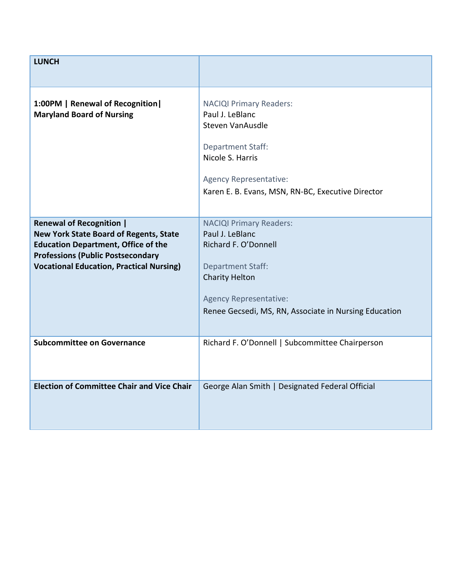| <b>LUNCH</b>                                                                                                                                                                               |                                                                                                                                                                                                                                        |
|--------------------------------------------------------------------------------------------------------------------------------------------------------------------------------------------|----------------------------------------------------------------------------------------------------------------------------------------------------------------------------------------------------------------------------------------|
| 1:00PM   Renewal of Recognition  <br><b>Maryland Board of Nursing</b><br><b>Renewal of Recognition  </b>                                                                                   | <b>NACIQI Primary Readers:</b><br>Paul J. LeBlanc<br>Steven VanAusdle<br><b>Department Staff:</b><br>Nicole S. Harris<br>Agency Representative:<br>Karen E. B. Evans, MSN, RN-BC, Executive Director<br><b>NACIQI Primary Readers:</b> |
| <b>New York State Board of Regents, State</b><br><b>Education Department, Office of the</b><br><b>Professions (Public Postsecondary</b><br><b>Vocational Education, Practical Nursing)</b> | Paul J. LeBlanc<br>Richard F. O'Donnell<br><b>Department Staff:</b><br><b>Charity Helton</b><br><b>Agency Representative:</b><br>Renee Gecsedi, MS, RN, Associate in Nursing Education                                                 |
| <b>Subcommittee on Governance</b>                                                                                                                                                          | Richard F. O'Donnell   Subcommittee Chairperson                                                                                                                                                                                        |
| <b>Election of Committee Chair and Vice Chair</b>                                                                                                                                          | George Alan Smith   Designated Federal Official                                                                                                                                                                                        |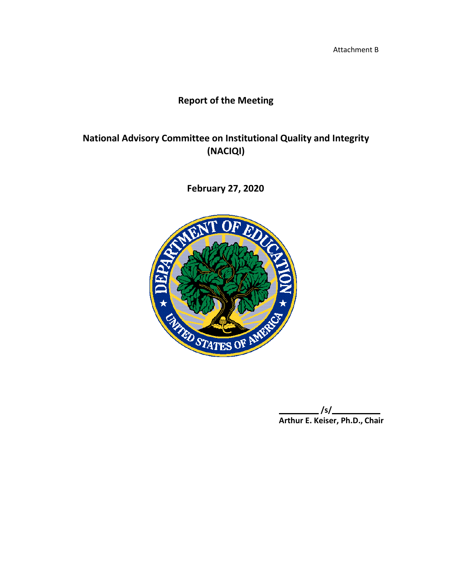Attachment B

# **Report of the Meeting**

# **National Advisory Committee on Institutional Quality and Integrity (NACIQI)**

**February 27, 2020**



**/s/ Arthur E. Keiser, Ph.D., Chair**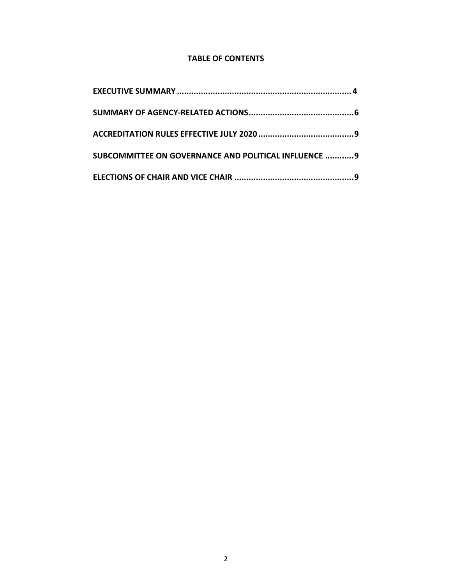## **TABLE OF CONTENTS**

| SUBCOMMITTEE ON GOVERNANCE AND POLITICAL INFLUENCE  9 |  |
|-------------------------------------------------------|--|
|                                                       |  |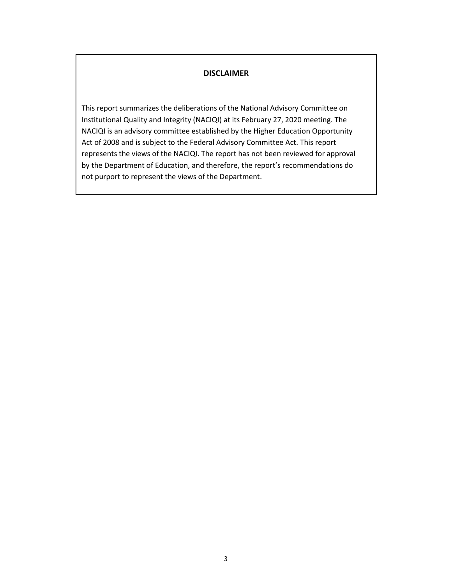## **DISCLAIMER**

This report summarizes the deliberations of the National Advisory Committee on Institutional Quality and Integrity (NACIQI) at its February 27, 2020 meeting. The NACIQI is an advisory committee established by the Higher Education Opportunity Act of 2008 and is subject to the Federal Advisory Committee Act. This report represents the views of the NACIQI. The report has not been reviewed for approval by the Department of Education, and therefore, the report's recommendations do not purport to represent the views of the Department.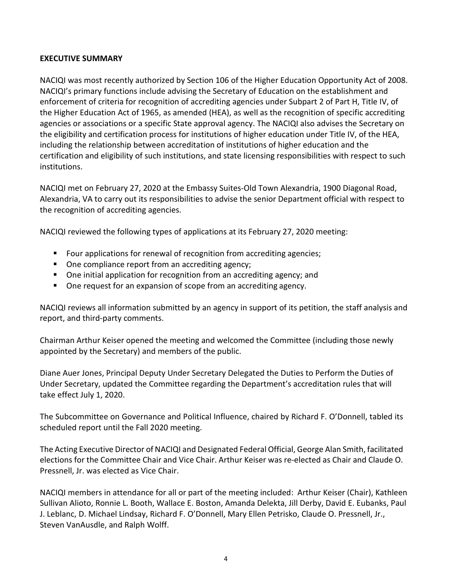## <span id="page-11-0"></span>**EXECUTIVE SUMMARY**

NACIQI was most recently authorized by Section 106 of the Higher Education Opportunity Act of 2008. NACIQI's primary functions include advising the Secretary of Education on the establishment and enforcement of criteria for recognition of accrediting agencies under Subpart 2 of Part H, Title IV, of the Higher Education Act of 1965, as amended (HEA), as well as the recognition of specific accrediting agencies or associations or a specific State approval agency. The NACIQI also advises the Secretary on the eligibility and certification process for institutions of higher education under Title IV, of the HEA, including the relationship between accreditation of institutions of higher education and the certification and eligibility of such institutions, and state licensing responsibilities with respect to such institutions.

NACIQI met on February 27, 2020 at the Embassy Suites-Old Town Alexandria, 1900 Diagonal Road, Alexandria, VA to carry out its responsibilities to advise the senior Department official with respect to the recognition of accrediting agencies.

NACIQI reviewed the following types of applications at its February 27, 2020 meeting:

- Four applications for renewal of recognition from accrediting agencies;
- One compliance report from an accrediting agency;
- One initial application for recognition from an accrediting agency; and
- One request for an expansion of scope from an accrediting agency.

NACIQI reviews all information submitted by an agency in support of its petition, the staff analysis and report, and third-party comments.

Chairman Arthur Keiser opened the meeting and welcomed the Committee (including those newly appointed by the Secretary) and members of the public.

Diane Auer Jones, Principal Deputy Under Secretary Delegated the Duties to Perform the Duties of Under Secretary, updated the Committee regarding the Department's accreditation rules that will take effect July 1, 2020.

The Subcommittee on Governance and Political Influence, chaired by Richard F. O'Donnell, tabled its scheduled report until the Fall 2020 meeting.

The Acting Executive Director of NACIQI and Designated Federal Official, George Alan Smith, facilitated elections for the Committee Chair and Vice Chair. Arthur Keiser was re-elected as Chair and Claude O. Pressnell, Jr. was elected as Vice Chair.

NACIQI members in attendance for all or part of the meeting included: Arthur Keiser (Chair), Kathleen Sullivan Alioto, Ronnie L. Booth, Wallace E. Boston, Amanda Delekta, Jill Derby, David E. Eubanks, Paul J. Leblanc, D. Michael Lindsay, Richard F. O'Donnell, Mary Ellen Petrisko, Claude O. Pressnell, Jr., Steven VanAusdle, and Ralph Wolff.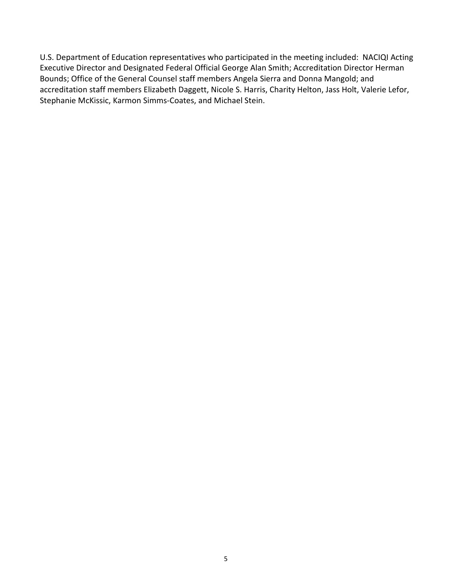U.S. Department of Education representatives who participated in the meeting included: NACIQI Acting Executive Director and Designated Federal Official George Alan Smith; Accreditation Director Herman Bounds; Office of the General Counsel staff members Angela Sierra and Donna Mangold; and accreditation staff members Elizabeth Daggett, Nicole S. Harris, Charity Helton, Jass Holt, Valerie Lefor, Stephanie McKissic, Karmon Simms-Coates, and Michael Stein.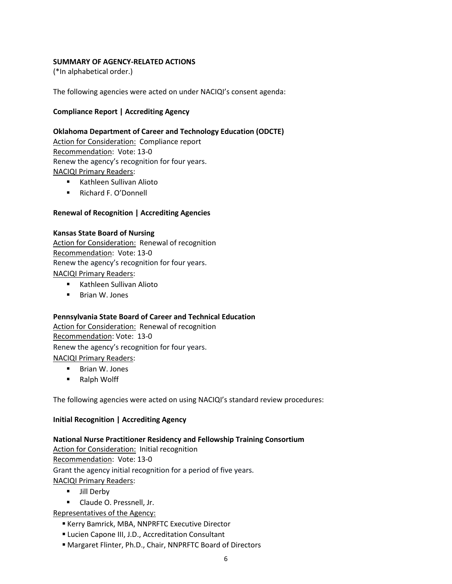#### <span id="page-13-0"></span>**SUMMARY OF AGENCY-RELATED ACTIONS**

(\*In alphabetical order.)

The following agencies were acted on under NACIQI's consent agenda:

#### **Compliance Report | Accrediting Agency**

#### **Oklahoma Department of Career and Technology Education (ODCTE)**

Action for Consideration: Compliance report Recommendation: Vote: 13-0 Renew the agency's recognition for four years. NACIQI Primary Readers:

- **Kathleen Sullivan Alioto**
- Richard F. O'Donnell

#### **Renewal of Recognition | Accrediting Agencies**

## **Kansas State Board of Nursing**

Action for Consideration: Renewal of recognition Recommendation: Vote: 13-0 Renew the agency's recognition for four years. NACIQI Primary Readers:

- **Kathleen Sullivan Alioto**
- **Brian W. Jones**

#### **Pennsylvania State Board of Career and Technical Education**

Action for Consideration: Renewal of recognition Recommendation: Vote: 13-0 Renew the agency's recognition for four years. NACIQI Primary Readers:

- **Brian W. Jones**
- Ralph Wolff

The following agencies were acted on using NACIQI's standard review procedures:

#### **Initial Recognition | Accrediting Agency**

#### **National Nurse Practitioner Residency and Fellowship Training Consortium**

Action for Consideration: Initial recognition Recommendation: Vote: 13-0 Grant the agency initial recognition for a period of five years. NACIQI Primary Readers:

- **Jill Derby**
- **Claude O. Pressnell, Jr.**

Representatives of the Agency:

- Kerry Bamrick, MBA, NNPRFTC Executive Director
- Lucien Capone III, J.D., Accreditation Consultant
- Margaret Flinter, Ph.D., Chair, NNPRFTC Board of Directors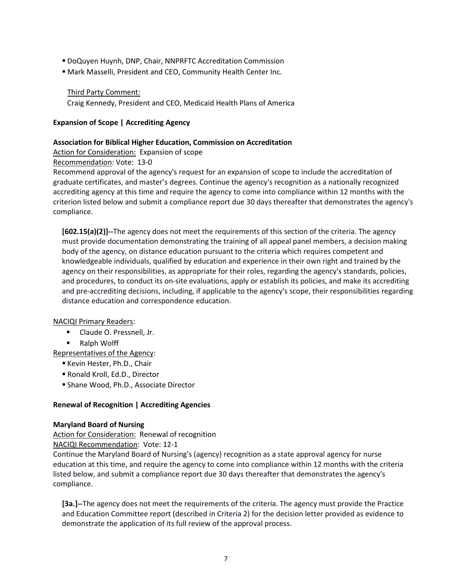- DoQuyen Huynh, DNP, Chair, NNPRFTC Accreditation Commission
- Mark Masselli, President and CEO, Community Health Center Inc.

#### Third Party Comment:

Craig Kennedy, President and CEO, Medicaid Health Plans of America

#### **Expansion of Scope | Accrediting Agency**

#### **Association for Biblical Higher Education, Commission on Accreditation**

Action for Consideration: Expansion of scope

Recommendation: Vote: 13-0

Recommend approval of the agency's request for an expansion of scope to include the accreditation of graduate certificates, and master's degrees. Continue the agency's recognition as a nationally recognized accrediting agency at this time and require the agency to come into compliance within 12 months with the criterion listed below and submit a compliance report due 30 days thereafter that demonstrates the agency's compliance.

**[602.15(a)(2)]--**The agency does not meet the requirements of this section of the criteria. The agency must provide documentation demonstrating the training of all appeal panel members, a decision making body of the agency, on distance education pursuant to the criteria which requires competent and knowledgeable individuals, qualified by education and experience in their own right and trained by the agency on their responsibilities, as appropriate for their roles, regarding the agency's standards, policies, and procedures, to conduct its on-site evaluations, apply or establish its policies, and make its accrediting and pre-accrediting decisions, including, if applicable to the agency's scope, their responsibilities regarding distance education and correspondence education.

#### NACIQI Primary Readers:

- **Claude O. Pressnell, Jr.**
- Ralph Wolff

Representatives of the Agency:

- Kevin Hester, Ph.D., Chair
- Ronald Kroll, Ed.D., Director
- Shane Wood, Ph.D., Associate Director

#### **Renewal of Recognition | Accrediting Agencies**

#### **Maryland Board of Nursing**

Action for Consideration: Renewal of recognition NACIQI Recommendation: Vote: 12-1

Continue the Maryland Board of Nursing's (agency) recognition as a state approval agency for nurse education at this time, and require the agency to come into compliance within 12 months with the criteria listed below, and submit a compliance report due 30 days thereafter that demonstrates the agency's compliance.

**[3a.]--**The agency does not meet the requirements of the criteria. The agency must provide the Practice and Education Committee report (described in Criteria 2) for the decision letter provided as evidence to demonstrate the application of its full review of the approval process.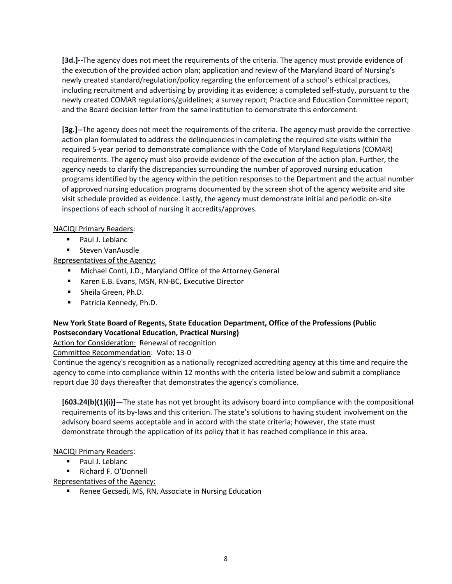**[3d.]--**The agency does not meet the requirements of the criteria. The agency must provide evidence of the execution of the provided action plan; application and review of the Maryland Board of Nursing's newly created standard/regulation/policy regarding the enforcement of a school's ethical practices, including recruitment and advertising by providing it as evidence; a completed self-study, pursuant to the newly created COMAR regulations/guidelines; a survey report; Practice and Education Committee report; and the Board decision letter from the same institution to demonstrate this enforcement.

**[3g.]--**The agency does not meet the requirements of the criteria. The agency must provide the corrective action plan formulated to address the delinquencies in completing the required site visits within the required 5-year period to demonstrate compliance with the Code of Maryland Regulations (COMAR) requirements. The agency must also provide evidence of the execution of the action plan. Further, the agency needs to clarify the discrepancies surrounding the number of approved nursing education programs identified by the agency within the petition responses to the Department and the actual number of approved nursing education programs documented by the screen shot of the agency website and site visit schedule provided as evidence. Lastly, the agency must demonstrate initial and periodic on-site inspections of each school of nursing it accredits/approves.

#### NACIQI Primary Readers:

- **Paul J. Leblanc**
- **Steven VanAusdle**

Representatives of the Agency:

- Michael Conti, J.D., Maryland Office of the Attorney General
- **Karen E.B. Evans, MSN, RN-BC, Executive Director**
- **Sheila Green, Ph.D.**
- **Patricia Kennedy, Ph.D.**

## **New York State Board of Regents, State Education Department, Office of the Professions (Public Postsecondary Vocational Education, Practical Nursing)**

Action for Consideration: Renewal of recognition

Committee Recommendation: Vote: 13-0

Continue the agency's recognition as a nationally recognized accrediting agency at this time and require the agency to come into compliance within 12 months with the criteria listed below and submit a compliance report due 30 days thereafter that demonstrates the agency's compliance.

**[603.24(b)(1)(i)]—**The state has not yet brought its advisory board into compliance with the compositional requirements of its by-laws and this criterion. The state's solutions to having student involvement on the advisory board seems acceptable and in accord with the state criteria; however, the state must demonstrate through the application of its policy that it has reached compliance in this area.

#### NACIQI Primary Readers:

**Paul J. Leblanc** 

■ Richard F. O'Donnell

Representatives of the Agency:

**Renee Gecsedi, MS, RN, Associate in Nursing Education**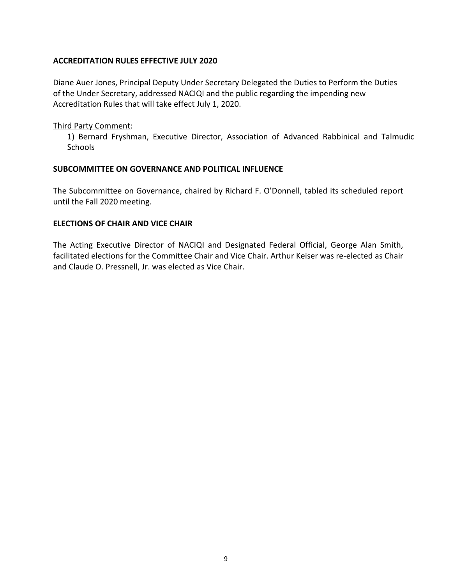#### **ACCREDITATION RULES EFFECTIVE JULY 2020**

Diane Auer Jones, Principal Deputy Under Secretary Delegated the Duties to Perform the Duties of the Under Secretary, addressed NACIQI and the public regarding the impending new Accreditation Rules that will take effect July 1, 2020.

#### Third Party Comment:

1) Bernard Fryshman, Executive Director, Association of Advanced Rabbinical and Talmudic **Schools** 

#### **SUBCOMMITTEE ON GOVERNANCE AND POLITICAL INFLUENCE**

The Subcommittee on Governance, chaired by Richard F. O'Donnell, tabled its scheduled report until the Fall 2020 meeting.

#### **ELECTIONS OF CHAIR AND VICE CHAIR**

The Acting Executive Director of NACIQI and Designated Federal Official, George Alan Smith, facilitated elections for the Committee Chair and Vice Chair. Arthur Keiser was re-elected as Chair and Claude O. Pressnell, Jr. was elected as Vice Chair.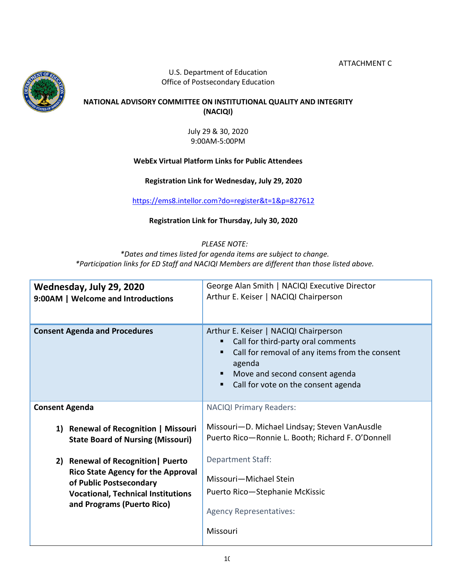ATTACHMENT C



U.S. Department of Education Office of Postsecondary Education

## **NATIONAL ADVISORY COMMITTEE ON INSTITUTIONAL QUALITY AND INTEGRITY (NACIQI)**

July 29 & 30, 2020 9:00AM-5:00PM

## **WebEx Virtual Platform Links for Public Attendees**

**Registration Link for Wednesday, July 29, 2020**

[https://ems8.intellor.com?do=register&t=1&p=827612](https://ems8.intellor.com/?do=register&t=1&p=827612)

## **Registration Link for Thursday, July 30, 2020**

## *PLEASE NOTE:*

*\*D[ates and times listed for agenda items are subject to chan](https://ems8.intellor.com/?do=register&t=1&p=827610)ge. \*Participation links for ED Staff and NACIQI Members are different than those listed above.*

| Wednesday, July 29, 2020<br>9:00AM   Welcome and Introductions                   | George Alan Smith   NACIQI Executive Director<br>Arthur E. Keiser   NACIQI Chairperson                                                                                                                                |
|----------------------------------------------------------------------------------|-----------------------------------------------------------------------------------------------------------------------------------------------------------------------------------------------------------------------|
| <b>Consent Agenda and Procedures</b>                                             | Arthur E. Keiser   NACIQI Chairperson<br>Call for third-party oral comments<br>Call for removal of any items from the consent<br>agenda<br>Move and second consent agenda<br>Call for vote on the consent agenda<br>п |
| <b>Consent Agenda</b>                                                            | <b>NACIQI Primary Readers:</b>                                                                                                                                                                                        |
| 1) Renewal of Recognition   Missouri<br><b>State Board of Nursing (Missouri)</b> | Missouri-D. Michael Lindsay; Steven VanAusdle<br>Puerto Rico-Ronnie L. Booth; Richard F. O'Donnell                                                                                                                    |
| 2) Renewal of Recognition   Puerto                                               | <b>Department Staff:</b>                                                                                                                                                                                              |
| <b>Rico State Agency for the Approval</b><br>of Public Postsecondary             | Missouri-Michael Stein                                                                                                                                                                                                |
| <b>Vocational, Technical Institutions</b>                                        | Puerto Rico-Stephanie McKissic                                                                                                                                                                                        |
| and Programs (Puerto Rico)                                                       | <b>Agency Representatives:</b>                                                                                                                                                                                        |
|                                                                                  | Missouri                                                                                                                                                                                                              |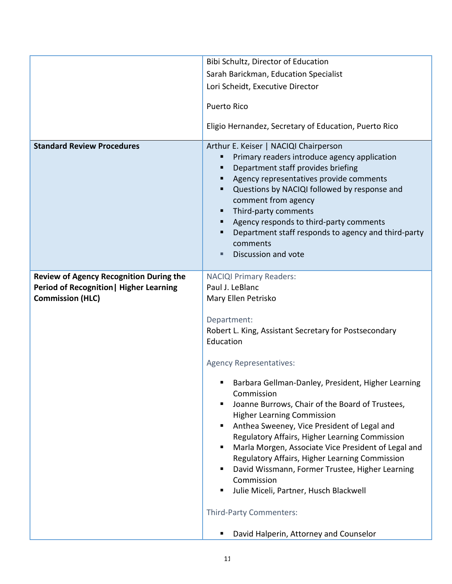|                                                                                                                             | Bibi Schultz, Director of Education                                                                                                                                                                                                                                                                                                                                                                                                                                                                                          |  |
|-----------------------------------------------------------------------------------------------------------------------------|------------------------------------------------------------------------------------------------------------------------------------------------------------------------------------------------------------------------------------------------------------------------------------------------------------------------------------------------------------------------------------------------------------------------------------------------------------------------------------------------------------------------------|--|
|                                                                                                                             | Sarah Barickman, Education Specialist                                                                                                                                                                                                                                                                                                                                                                                                                                                                                        |  |
|                                                                                                                             | Lori Scheidt, Executive Director                                                                                                                                                                                                                                                                                                                                                                                                                                                                                             |  |
|                                                                                                                             | <b>Puerto Rico</b>                                                                                                                                                                                                                                                                                                                                                                                                                                                                                                           |  |
|                                                                                                                             | Eligio Hernandez, Secretary of Education, Puerto Rico                                                                                                                                                                                                                                                                                                                                                                                                                                                                        |  |
| <b>Standard Review Procedures</b>                                                                                           | Arthur E. Keiser   NACIQI Chairperson<br>Primary readers introduce agency application<br>Department staff provides briefing<br>٠<br>Agency representatives provide comments<br>٠<br>Questions by NACIQI followed by response and<br>٠<br>comment from agency<br>Third-party comments<br>٠<br>Agency responds to third-party comments<br>٠<br>Department staff responds to agency and third-party<br>٠<br>comments<br>Discussion and vote                                                                                     |  |
| <b>Review of Agency Recognition During the</b><br><b>Period of Recognition   Higher Learning</b><br><b>Commission (HLC)</b> | <b>NACIQI Primary Readers:</b><br>Paul J. LeBlanc<br>Mary Ellen Petrisko                                                                                                                                                                                                                                                                                                                                                                                                                                                     |  |
|                                                                                                                             | Department:<br>Robert L. King, Assistant Secretary for Postsecondary<br>Education                                                                                                                                                                                                                                                                                                                                                                                                                                            |  |
|                                                                                                                             | <b>Agency Representatives:</b>                                                                                                                                                                                                                                                                                                                                                                                                                                                                                               |  |
|                                                                                                                             | Barbara Gellman-Danley, President, Higher Learning<br>Commission<br>Joanne Burrows, Chair of the Board of Trustees,<br>п<br><b>Higher Learning Commission</b><br>Anthea Sweeney, Vice President of Legal and<br>Regulatory Affairs, Higher Learning Commission<br>Marla Morgen, Associate Vice President of Legal and<br>٠<br>Regulatory Affairs, Higher Learning Commission<br>David Wissmann, Former Trustee, Higher Learning<br>٠<br>Commission<br>Julie Miceli, Partner, Husch Blackwell<br>٠<br>Third-Party Commenters: |  |
|                                                                                                                             | David Halperin, Attorney and Counselor                                                                                                                                                                                                                                                                                                                                                                                                                                                                                       |  |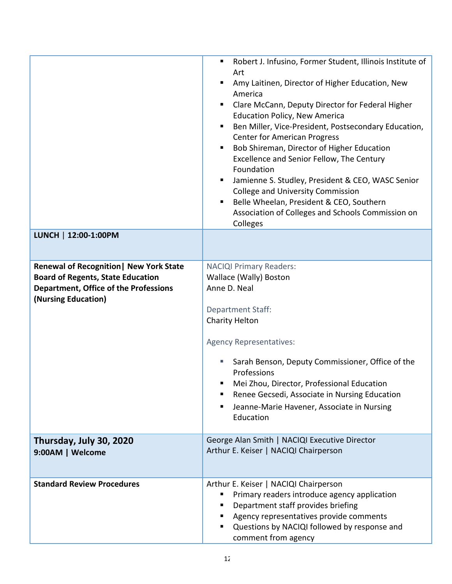|                                                                                                                                                     | Robert J. Infusino, Former Student, Illinois Institute of<br>п<br>Art<br>Amy Laitinen, Director of Higher Education, New<br>America<br>Clare McCann, Deputy Director for Federal Higher<br><b>Education Policy, New America</b><br>Ben Miller, Vice-President, Postsecondary Education,<br><b>Center for American Progress</b><br>Bob Shireman, Director of Higher Education<br>Excellence and Senior Fellow, The Century<br>Foundation<br>Jamienne S. Studley, President & CEO, WASC Senior<br>٠<br><b>College and University Commission</b><br>Belle Wheelan, President & CEO, Southern<br>Association of Colleges and Schools Commission on<br>Colleges |
|-----------------------------------------------------------------------------------------------------------------------------------------------------|------------------------------------------------------------------------------------------------------------------------------------------------------------------------------------------------------------------------------------------------------------------------------------------------------------------------------------------------------------------------------------------------------------------------------------------------------------------------------------------------------------------------------------------------------------------------------------------------------------------------------------------------------------|
| LUNCH   12:00-1:00PM                                                                                                                                |                                                                                                                                                                                                                                                                                                                                                                                                                                                                                                                                                                                                                                                            |
| Renewal of Recognition   New York State<br><b>Board of Regents, State Education</b><br>Department, Office of the Professions<br>(Nursing Education) | <b>NACIQI Primary Readers:</b><br>Wallace (Wally) Boston<br>Anne D. Neal<br><b>Department Staff:</b><br>Charity Helton<br><b>Agency Representatives:</b><br>Sarah Benson, Deputy Commissioner, Office of the<br>Professions<br>Mei Zhou, Director, Professional Education<br>Renee Gecsedi, Associate in Nursing Education<br>Jeanne-Marie Havener, Associate in Nursing<br>Education                                                                                                                                                                                                                                                                      |
| Thursday, July 30, 2020<br>9:00AM   Welcome                                                                                                         | George Alan Smith   NACIQI Executive Director<br>Arthur E. Keiser   NACIQI Chairperson                                                                                                                                                                                                                                                                                                                                                                                                                                                                                                                                                                     |
| <b>Standard Review Procedures</b>                                                                                                                   | Arthur E. Keiser   NACIQI Chairperson<br>Primary readers introduce agency application<br>Department staff provides briefing<br>Agency representatives provide comments<br>Questions by NACIQI followed by response and<br>comment from agency                                                                                                                                                                                                                                                                                                                                                                                                              |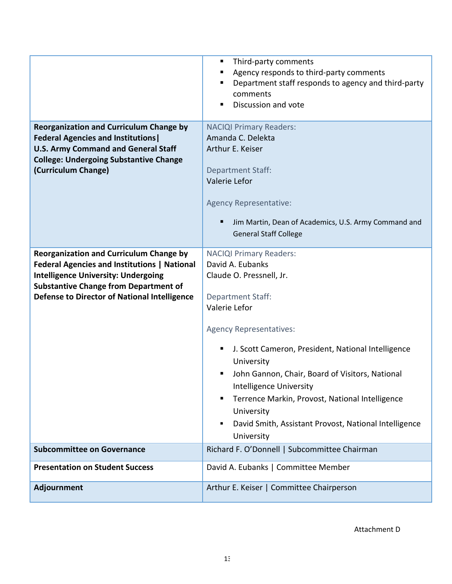|                                                                                                                                                                                                                                                            | Third-party comments<br>п<br>Agency responds to third-party comments<br>п<br>Department staff responds to agency and third-party<br>٠<br>comments<br>Discussion and vote                                                                                                                                                                                                                                                                                               |  |
|------------------------------------------------------------------------------------------------------------------------------------------------------------------------------------------------------------------------------------------------------------|------------------------------------------------------------------------------------------------------------------------------------------------------------------------------------------------------------------------------------------------------------------------------------------------------------------------------------------------------------------------------------------------------------------------------------------------------------------------|--|
| <b>Reorganization and Curriculum Change by</b><br><b>Federal Agencies and Institutions</b><br><b>U.S. Army Command and General Staff</b><br><b>College: Undergoing Substantive Change</b><br>(Curriculum Change)                                           | <b>NACIQI Primary Readers:</b><br>Amanda C. Delekta<br>Arthur E. Keiser<br><b>Department Staff:</b><br>Valerie Lefor<br><b>Agency Representative:</b><br>Jim Martin, Dean of Academics, U.S. Army Command and<br><b>General Staff College</b>                                                                                                                                                                                                                          |  |
| <b>Reorganization and Curriculum Change by</b><br><b>Federal Agencies and Institutions   National</b><br><b>Intelligence University: Undergoing</b><br><b>Substantive Change from Department of</b><br><b>Defense to Director of National Intelligence</b> | <b>NACIQI Primary Readers:</b><br>David A. Eubanks<br>Claude O. Pressnell, Jr.<br><b>Department Staff:</b><br>Valerie Lefor<br><b>Agency Representatives:</b><br>J. Scott Cameron, President, National Intelligence<br>п<br>University<br>John Gannon, Chair, Board of Visitors, National<br>Intelligence University<br>Terrence Markin, Provost, National Intelligence<br>٠<br>University<br>David Smith, Assistant Provost, National Intelligence<br>٠<br>University |  |
| <b>Subcommittee on Governance</b>                                                                                                                                                                                                                          | Richard F. O'Donnell   Subcommittee Chairman                                                                                                                                                                                                                                                                                                                                                                                                                           |  |
| <b>Presentation on Student Success</b>                                                                                                                                                                                                                     | David A. Eubanks   Committee Member                                                                                                                                                                                                                                                                                                                                                                                                                                    |  |
| Adjournment                                                                                                                                                                                                                                                | Arthur E. Keiser   Committee Chairperson                                                                                                                                                                                                                                                                                                                                                                                                                               |  |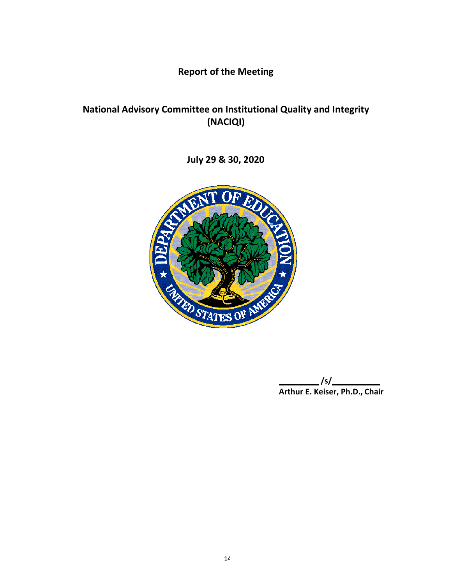**Report of the Meeting**

# **National Advisory Committee on Institutional Quality and Integrity (NACIQI)**

**July 29 & 30, 2020**



**/s/ Arthur E. Keiser, Ph.D., Chair**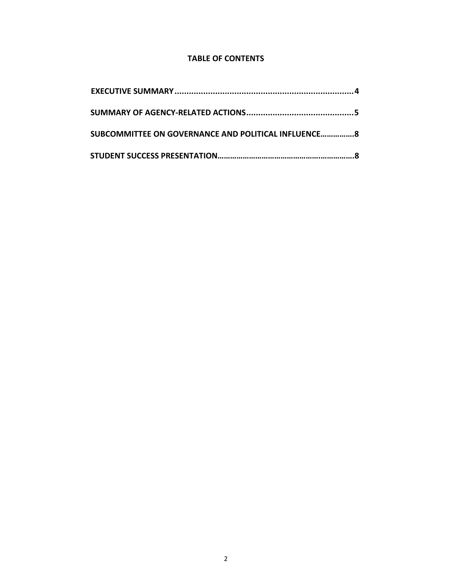## **TABLE OF CONTENTS**

| SUBCOMMITTEE ON GOVERNANCE AND POLITICAL INFLUENCE 8 |
|------------------------------------------------------|
|                                                      |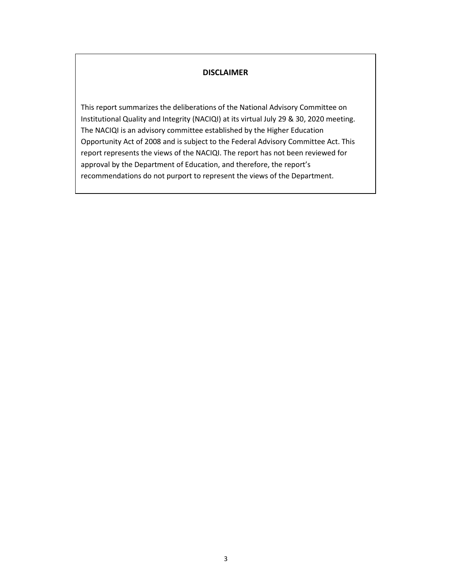#### **DISCLAIMER**

This report summarizes the deliberations of the National Advisory Committee on Institutional Quality and Integrity (NACIQI) at its virtual July 29 & 30, 2020 meeting. The NACIQI is an advisory committee established by the Higher Education Opportunity Act of 2008 and is subject to the Federal Advisory Committee Act. This report represents the views of the NACIQI. The report has not been reviewed for approval by the Department of Education, and therefore, the report's recommendations do not purport to represent the views of the Department.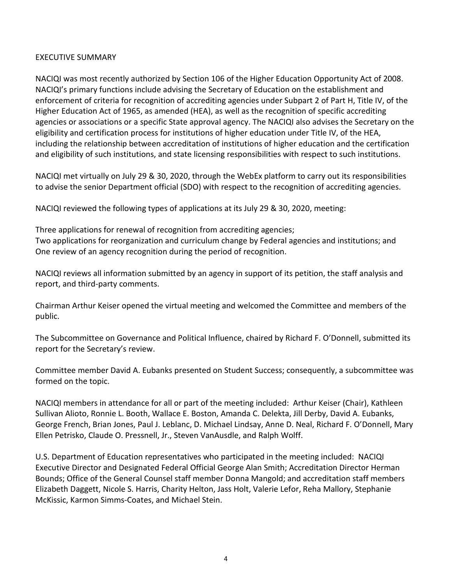## EXECUTIVE SUMMARY

NACIQI was most recently authorized by Section 106 of the Higher Education Opportunity Act of 2008. NACIQI's primary functions include advising the Secretary of Education on the establishment and enforcement of criteria for recognition of accrediting agencies under Subpart 2 of Part H, Title IV, of the Higher Education Act of 1965, as amended (HEA), as well as the recognition of specific accrediting agencies or associations or a specific State approval agency. The NACIQI also advises the Secretary on the eligibility and certification process for institutions of higher education under Title IV, of the HEA, including the relationship between accreditation of institutions of higher education and the certification and eligibility of such institutions, and state licensing responsibilities with respect to such institutions.

NACIQI met virtually on July 29 & 30, 2020, through the WebEx platform to carry out its responsibilities to advise the senior Department official (SDO) with respect to the recognition of accrediting agencies.

NACIQI reviewed the following types of applications at its July 29 & 30, 2020, meeting:

Three applications for renewal of recognition from accrediting agencies; Two applications for reorganization and curriculum change by Federal agencies and institutions; and One review of an agency recognition during the period of recognition.

NACIQI reviews all information submitted by an agency in support of its petition, the staff analysis and report, and third-party comments.

Chairman Arthur Keiser opened the virtual meeting and welcomed the Committee and members of the public.

The Subcommittee on Governance and Political Influence, chaired by Richard F. O'Donnell, submitted its report for the Secretary's review.

Committee member David A. Eubanks presented on Student Success; consequently, a subcommittee was formed on the topic.

NACIQI members in attendance for all or part of the meeting included: Arthur Keiser (Chair), Kathleen Sullivan Alioto, Ronnie L. Booth, Wallace E. Boston, Amanda C. Delekta, Jill Derby, David A. Eubanks, George French, Brian Jones, Paul J. Leblanc, D. Michael Lindsay, Anne D. Neal, Richard F. O'Donnell, Mary Ellen Petrisko, Claude O. Pressnell, Jr., Steven VanAusdle, and Ralph Wolff.

U.S. Department of Education representatives who participated in the meeting included: NACIQI Executive Director and Designated Federal Official George Alan Smith; Accreditation Director Herman Bounds; Office of the General Counsel staff member Donna Mangold; and accreditation staff members Elizabeth Daggett, Nicole S. Harris, Charity Helton, Jass Holt, Valerie Lefor, Reha Mallory, Stephanie McKissic, Karmon Simms-Coates, and Michael Stein.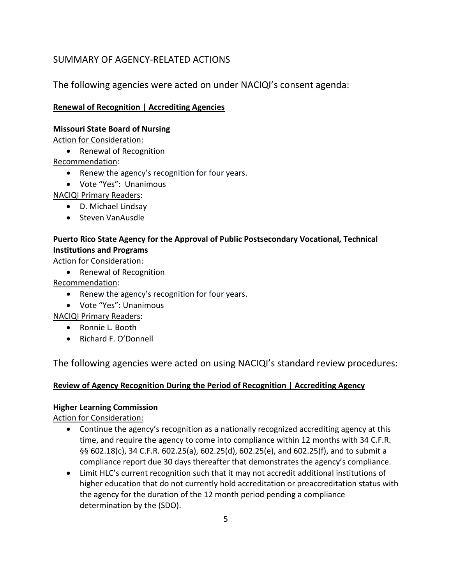# SUMMARY OF AGENCY-RELATED ACTIONS

The following agencies were acted on under NACIQI's consent agenda:

## **Renewal of Recognition | Accrediting Agencies**

#### **Missouri State Board of Nursing**

Action for Consideration:

• Renewal of Recognition

Recommendation:

- Renew the agency's recognition for four years.
- Vote "Yes": Unanimous

NACIQI Primary Readers:

- D. Michael Lindsay
- Steven VanAusdle

## **Puerto Rico State Agency for the Approval of Public Postsecondary Vocational, Technical Institutions and Programs**

Action for Consideration:

• Renewal of Recognition

Recommendation:

- Renew the agency's recognition for four years.
- Vote "Yes": Unanimous

NACIQI Primary Readers:

- Ronnie L. Booth
- Richard F. O'Donnell

The following agencies were acted on using NACIQI's standard review procedures:

## **Review of Agency Recognition During the Period of Recognition | Accrediting Agency**

#### **Higher Learning Commission**

Action for Consideration:

- Continue the agency's recognition as a nationally recognized accrediting agency at this time, and require the agency to come into compliance within 12 months with 34 C.F.R. §§ 602.18(c), 34 C.F.R. 602.25(a), 602.25(d), 602.25(e), and 602.25(f), and to submit a compliance report due 30 days thereafter that demonstrates the agency's compliance.
- Limit HLC's current recognition such that it may not accredit additional institutions of higher education that do not currently hold accreditation or preaccreditation status with the agency for the duration of the 12 month period pending a compliance determination by the (SDO).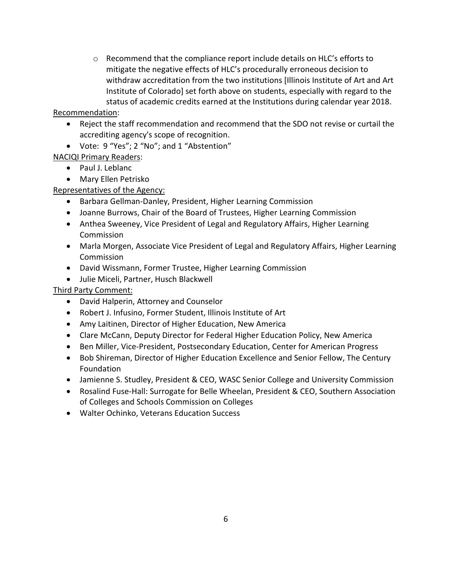$\circ$  Recommend that the compliance report include details on HLC's efforts to mitigate the negative effects of HLC's procedurally erroneous decision to withdraw accreditation from the two institutions [Illinois Institute of Art and Art Institute of Colorado] set forth above on students, especially with regard to the status of academic credits earned at the Institutions during calendar year 2018.

Recommendation:

- Reject the staff recommendation and recommend that the SDO not revise or curtail the accrediting agency's scope of recognition.
- Vote: 9 "Yes"; 2 "No"; and 1 "Abstention"

NACIQI Primary Readers:

- Paul J. Leblanc
- Mary Ellen Petrisko

## Representatives of the Agency:

- Barbara Gellman-Danley, President, Higher Learning Commission
- Joanne Burrows, Chair of the Board of Trustees, Higher Learning Commission
- Anthea Sweeney, Vice President of Legal and Regulatory Affairs, Higher Learning Commission
- Marla Morgen, Associate Vice President of Legal and Regulatory Affairs, Higher Learning Commission
- David Wissmann, Former Trustee, Higher Learning Commission
- Julie Miceli, Partner, Husch Blackwell

## Third Party Comment:

- David Halperin, Attorney and Counselor
- Robert J. Infusino, Former Student, Illinois Institute of Art
- Amy Laitinen, Director of Higher Education, New America
- Clare McCann, Deputy Director for Federal Higher Education Policy, New America
- Ben Miller, Vice-President, Postsecondary Education, Center for American Progress
- Bob Shireman, Director of Higher Education Excellence and Senior Fellow, The Century Foundation
- Jamienne S. Studley, President & CEO, WASC Senior College and University Commission
- Rosalind Fuse-Hall: Surrogate for Belle Wheelan, President & CEO, Southern Association of Colleges and Schools Commission on Colleges
- Walter Ochinko, Veterans Education Success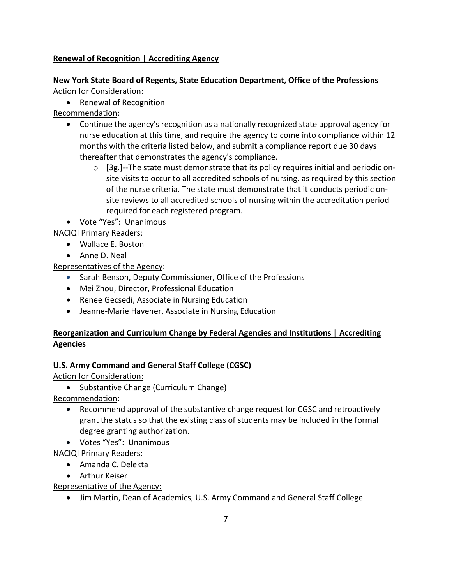## **Renewal of Recognition | Accrediting Agency**

## **New York State Board of Regents, State Education Department, Office of the Professions** Action for Consideration:

• Renewal of Recognition

Recommendation:

- Continue the agency's recognition as a nationally recognized state approval agency for nurse education at this time, and require the agency to come into compliance within 12 months with the criteria listed below, and submit a compliance report due 30 days thereafter that demonstrates the agency's compliance.
	- $\circ$  [3g.]--The state must demonstrate that its policy requires initial and periodic onsite visits to occur to all accredited schools of nursing, as required by this section of the nurse criteria. The state must demonstrate that it conducts periodic onsite reviews to all accredited schools of nursing within the accreditation period required for each registered program.
- Vote "Yes": Unanimous

NACIQI Primary Readers:

- Wallace E. Boston
- Anne D. Neal

Representatives of the Agency:

- Sarah Benson, Deputy Commissioner, Office of the Professions
- Mei Zhou, Director, Professional Education
- Renee Gecsedi, Associate in Nursing Education
- Jeanne-Marie Havener, Associate in Nursing Education

## **Reorganization and Curriculum Change by Federal Agencies and Institutions | Accrediting Agencies**

## **U.S. Army Command and General Staff College (CGSC)**

Action for Consideration:

• Substantive Change (Curriculum Change)

Recommendation:

- Recommend approval of the substantive change request for CGSC and retroactively grant the status so that the existing class of students may be included in the formal degree granting authorization.
- Votes "Yes": Unanimous

NACIQI Primary Readers:

- Amanda C. Delekta
- Arthur Keiser

Representative of the Agency:

• Jim Martin, Dean of Academics, U.S. Army Command and General Staff College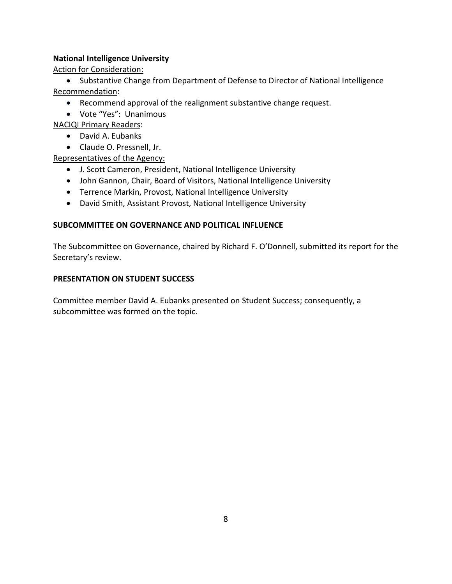### **National Intelligence University**

Action for Consideration:

• Substantive Change from Department of Defense to Director of National Intelligence Recommendation:

- Recommend approval of the realignment substantive change request.
- Vote "Yes": Unanimous

NACIQI Primary Readers:

- David A. Eubanks
- Claude O. Pressnell, Jr.

Representatives of the Agency:

- J. Scott Cameron, President, National Intelligence University
- John Gannon, Chair, Board of Visitors, National Intelligence University
- Terrence Markin, Provost, National Intelligence University
- David Smith, Assistant Provost, National Intelligence University

## **SUBCOMMITTEE ON GOVERNANCE AND POLITICAL INFLUENCE**

The Subcommittee on Governance, chaired by Richard F. O'Donnell, submitted its report for the Secretary's review.

#### **PRESENTATION ON STUDENT SUCCESS**

Committee member David A. Eubanks presented on Student Success; consequently, a subcommittee was formed on the topic.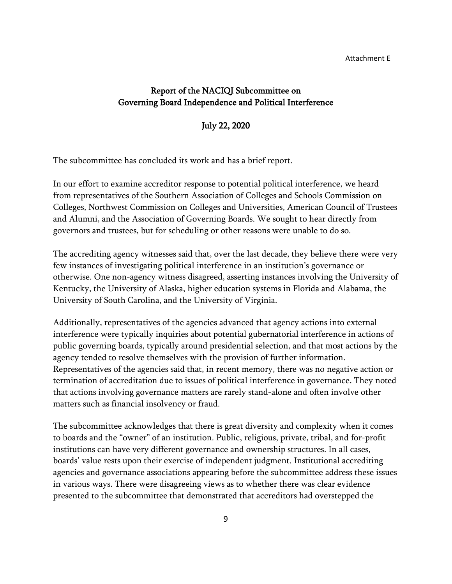#### Attachment E

## Report of the NACIQI Subcommittee on Governing Board Independence and Political Interference

#### July 22, 2020

The subcommittee has concluded its work and has a brief report.

In our effort to examine accreditor response to potential political interference, we heard from representatives of the Southern Association of Colleges and Schools Commission on Colleges, Northwest Commission on Colleges and Universities, American Council of Trustees and Alumni, and the Association of Governing Boards. We sought to hear directly from governors and trustees, but for scheduling or other reasons were unable to do so.

The accrediting agency witnesses said that, over the last decade, they believe there were very few instances of investigating political interference in an institution's governance or otherwise. One non-agency witness disagreed, asserting instances involving the University of Kentucky, the University of Alaska, higher education systems in Florida and Alabama, the University of South Carolina, and the University of Virginia.

Additionally, representatives of the agencies advanced that agency actions into external interference were typically inquiries about potential gubernatorial interference in actions of public governing boards, typically around presidential selection, and that most actions by the agency tended to resolve themselves with the provision of further information. Representatives of the agencies said that, in recent memory, there was no negative action or termination of accreditation due to issues of political interference in governance. They noted that actions involving governance matters are rarely stand-alone and often involve other matters such as financial insolvency or fraud.

The subcommittee acknowledges that there is great diversity and complexity when it comes to boards and the "owner" of an institution. Public, religious, private, tribal, and for-profit institutions can have very different governance and ownership structures. In all cases, boards' value rests upon their exercise of independent judgment. Institutional accrediting agencies and governance associations appearing before the subcommittee address these issues in various ways. There were disagreeing views as to whether there was clear evidence presented to the subcommittee that demonstrated that accreditors had overstepped the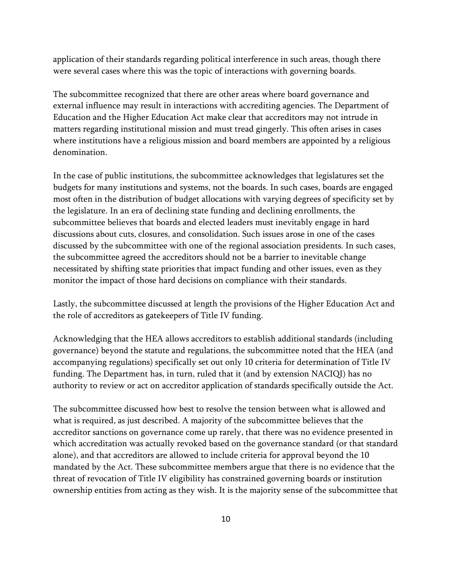application of their standards regarding political interference in such areas, though there were several cases where this was the topic of interactions with governing boards.

The subcommittee recognized that there are other areas where board governance and external influence may result in interactions with accrediting agencies. The Department of Education and the Higher Education Act make clear that accreditors may not intrude in matters regarding institutional mission and must tread gingerly. This often arises in cases where institutions have a religious mission and board members are appointed by a religious denomination.

In the case of public institutions, the subcommittee acknowledges that legislatures set the budgets for many institutions and systems, not the boards. In such cases, boards are engaged most often in the distribution of budget allocations with varying degrees of specificity set by the legislature. In an era of declining state funding and declining enrollments, the subcommittee believes that boards and elected leaders must inevitably engage in hard discussions about cuts, closures, and consolidation. Such issues arose in one of the cases discussed by the subcommittee with one of the regional association presidents. In such cases, the subcommittee agreed the accreditors should not be a barrier to inevitable change necessitated by shifting state priorities that impact funding and other issues, even as they monitor the impact of those hard decisions on compliance with their standards.

Lastly, the subcommittee discussed at length the provisions of the Higher Education Act and the role of accreditors as gatekeepers of Title IV funding.

Acknowledging that the HEA allows accreditors to establish additional standards (including governance) beyond the statute and regulations, the subcommittee noted that the HEA (and accompanying regulations) specifically set out only 10 criteria for determination of Title IV funding. The Department has, in turn, ruled that it (and by extension NACIQI) has no authority to review or act on accreditor application of standards specifically outside the Act.

The subcommittee discussed how best to resolve the tension between what is allowed and what is required, as just described. A majority of the subcommittee believes that the accreditor sanctions on governance come up rarely, that there was no evidence presented in which accreditation was actually revoked based on the governance standard (or that standard alone), and that accreditors are allowed to include criteria for approval beyond the 10 mandated by the Act. These subcommittee members argue that there is no evidence that the threat of revocation of Title IV eligibility has constrained governing boards or institution ownership entities from acting as they wish. It is the majority sense of the subcommittee that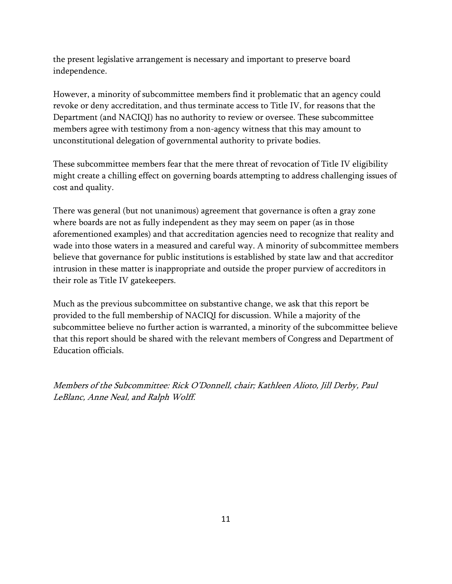the present legislative arrangement is necessary and important to preserve board independence.

However, a minority of subcommittee members find it problematic that an agency could revoke or deny accreditation, and thus terminate access to Title IV, for reasons that the Department (and NACIQI) has no authority to review or oversee. These subcommittee members agree with testimony from a non-agency witness that this may amount to unconstitutional delegation of governmental authority to private bodies.

These subcommittee members fear that the mere threat of revocation of Title IV eligibility might create a chilling effect on governing boards attempting to address challenging issues of cost and quality.

There was general (but not unanimous) agreement that governance is often a gray zone where boards are not as fully independent as they may seem on paper (as in those aforementioned examples) and that accreditation agencies need to recognize that reality and wade into those waters in a measured and careful way. A minority of subcommittee members believe that governance for public institutions is established by state law and that accreditor intrusion in these matter is inappropriate and outside the proper purview of accreditors in their role as Title IV gatekeepers.

Much as the previous subcommittee on substantive change, we ask that this report be provided to the full membership of NACIQI for discussion. While a majority of the subcommittee believe no further action is warranted, a minority of the subcommittee believe that this report should be shared with the relevant members of Congress and Department of Education officials.

Members of the Subcommittee: Rick O'Donnell, chair; Kathleen Alioto, Jill Derby, Paul LeBlanc, Anne Neal, and Ralph Wolff.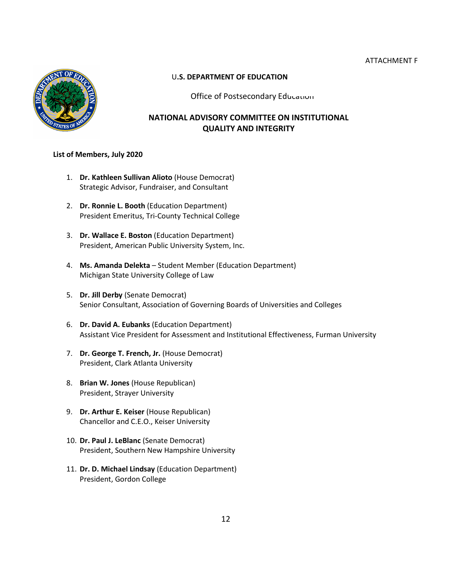#### ATTACHMENT F



#### U**.S. DEPARTMENT OF EDUCATION**

Office of Postsecondary Education

## **NATIONAL ADVISORY COMMITTEE ON INSTITUTIONAL QUALITY AND INTEGRITY**

#### **List of Members, July 2020**

- 1. **Dr. Kathleen Sullivan Alioto** (House Democrat) Strategic Advisor, Fundraiser, and Consultant
- 2. **Dr. Ronnie L. Booth** (Education Department) President Emeritus, Tri-County Technical College
- 3. **Dr. Wallace E. Boston** (Education Department) President, American Public University System, Inc.
- 4. **Ms. Amanda Delekta** Student Member (Education Department) Michigan State University College of Law
- 5. **Dr. Jill Derby** (Senate Democrat) Senior Consultant, Association of Governing Boards of Universities and Colleges
- 6. **Dr. David A. Eubanks** (Education Department) Assistant Vice President for Assessment and Institutional Effectiveness, Furman University
- 7. **Dr. George T. French, Jr.** (House Democrat) President, Clark Atlanta University
- 8. **Brian W. Jones** (House Republican) President, Strayer University
- 9. **Dr. Arthur E. Keiser** (House Republican) Chancellor and C.E.O., Keiser University
- 10. **Dr. Paul J. LeBlanc** (Senate Democrat) President, Southern New Hampshire University
- 11. **Dr. D. Michael Lindsay** (Education Department) President, Gordon College